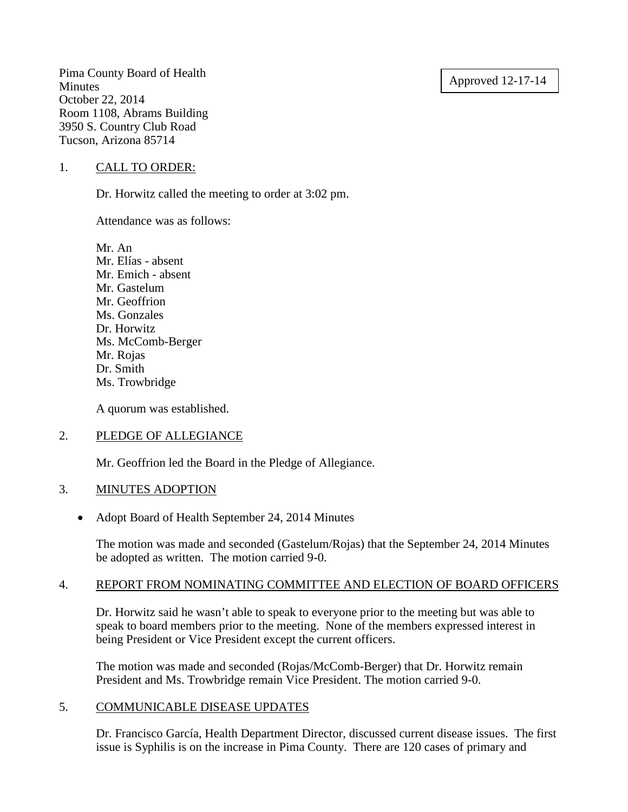## Approved 12-17-14

Pima County Board of Health **Minutes** October 22, 2014 Room 1108, Abrams Building 3950 S. Country Club Road Tucson, Arizona 85714

### 1. CALL TO ORDER:

Dr. Horwitz called the meeting to order at 3:02 pm.

Attendance was as follows:

Mr. An Mr. Elías - absent Mr. Emich - absent Mr. Gastelum Mr. Geoffrion Ms. Gonzales Dr. Horwitz Ms. McComb-Berger Mr. Rojas Dr. Smith Ms. Trowbridge

A quorum was established.

### 2. PLEDGE OF ALLEGIANCE

Mr. Geoffrion led the Board in the Pledge of Allegiance.

### 3. MINUTES ADOPTION

• Adopt Board of Health September 24, 2014 Minutes

The motion was made and seconded (Gastelum/Rojas) that the September 24, 2014 Minutes be adopted as written. The motion carried 9-0.

### 4. REPORT FROM NOMINATING COMMITTEE AND ELECTION OF BOARD OFFICERS

Dr. Horwitz said he wasn't able to speak to everyone prior to the meeting but was able to speak to board members prior to the meeting. None of the members expressed interest in being President or Vice President except the current officers.

The motion was made and seconded (Rojas/McComb-Berger) that Dr. Horwitz remain President and Ms. Trowbridge remain Vice President. The motion carried 9-0.

### 5. COMMUNICABLE DISEASE UPDATES

Dr. Francisco García, Health Department Director, discussed current disease issues. The first issue is Syphilis is on the increase in Pima County. There are 120 cases of primary and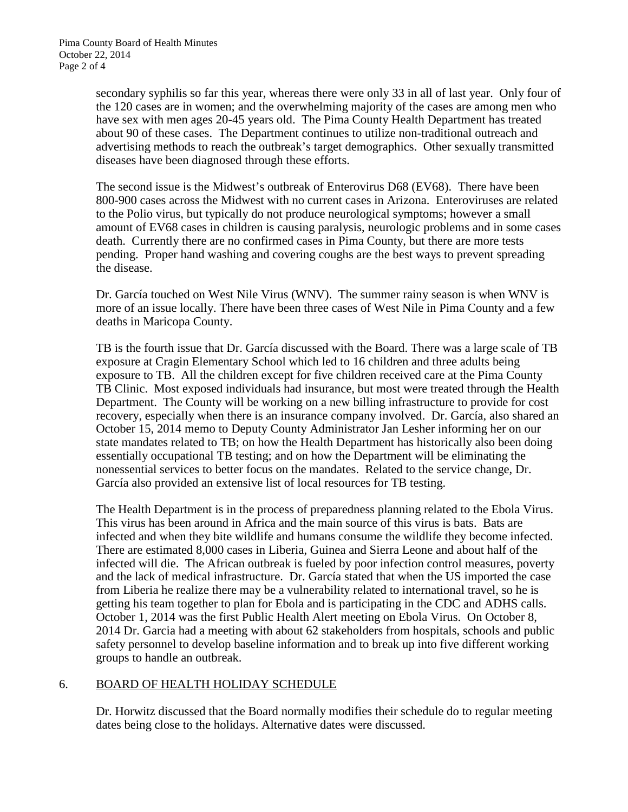secondary syphilis so far this year, whereas there were only 33 in all of last year. Only four of the 120 cases are in women; and the overwhelming majority of the cases are among men who have sex with men ages 20-45 years old. The Pima County Health Department has treated about 90 of these cases. The Department continues to utilize non-traditional outreach and advertising methods to reach the outbreak's target demographics. Other sexually transmitted diseases have been diagnosed through these efforts.

The second issue is the Midwest's outbreak of Enterovirus D68 (EV68). There have been 800-900 cases across the Midwest with no current cases in Arizona. Enteroviruses are related to the Polio virus, but typically do not produce neurological symptoms; however a small amount of EV68 cases in children is causing paralysis, neurologic problems and in some cases death. Currently there are no confirmed cases in Pima County, but there are more tests pending. Proper hand washing and covering coughs are the best ways to prevent spreading the disease.

Dr. García touched on West Nile Virus (WNV). The summer rainy season is when WNV is more of an issue locally. There have been three cases of West Nile in Pima County and a few deaths in Maricopa County.

TB is the fourth issue that Dr. García discussed with the Board. There was a large scale of TB exposure at Cragin Elementary School which led to 16 children and three adults being exposure to TB. All the children except for five children received care at the Pima County TB Clinic. Most exposed individuals had insurance, but most were treated through the Health Department. The County will be working on a new billing infrastructure to provide for cost recovery, especially when there is an insurance company involved. Dr. García, also shared an October 15, 2014 memo to Deputy County Administrator Jan Lesher informing her on our state mandates related to TB; on how the Health Department has historically also been doing essentially occupational TB testing; and on how the Department will be eliminating the nonessential services to better focus on the mandates. Related to the service change, Dr. García also provided an extensive list of local resources for TB testing.

The Health Department is in the process of preparedness planning related to the Ebola Virus. This virus has been around in Africa and the main source of this virus is bats. Bats are infected and when they bite wildlife and humans consume the wildlife they become infected. There are estimated 8,000 cases in Liberia, Guinea and Sierra Leone and about half of the infected will die. The African outbreak is fueled by poor infection control measures, poverty and the lack of medical infrastructure. Dr. García stated that when the US imported the case from Liberia he realize there may be a vulnerability related to international travel, so he is getting his team together to plan for Ebola and is participating in the CDC and ADHS calls. October 1, 2014 was the first Public Health Alert meeting on Ebola Virus. On October 8, 2014 Dr. Garcia had a meeting with about 62 stakeholders from hospitals, schools and public safety personnel to develop baseline information and to break up into five different working groups to handle an outbreak.

# 6. BOARD OF HEALTH HOLIDAY SCHEDULE

Dr. Horwitz discussed that the Board normally modifies their schedule do to regular meeting dates being close to the holidays. Alternative dates were discussed.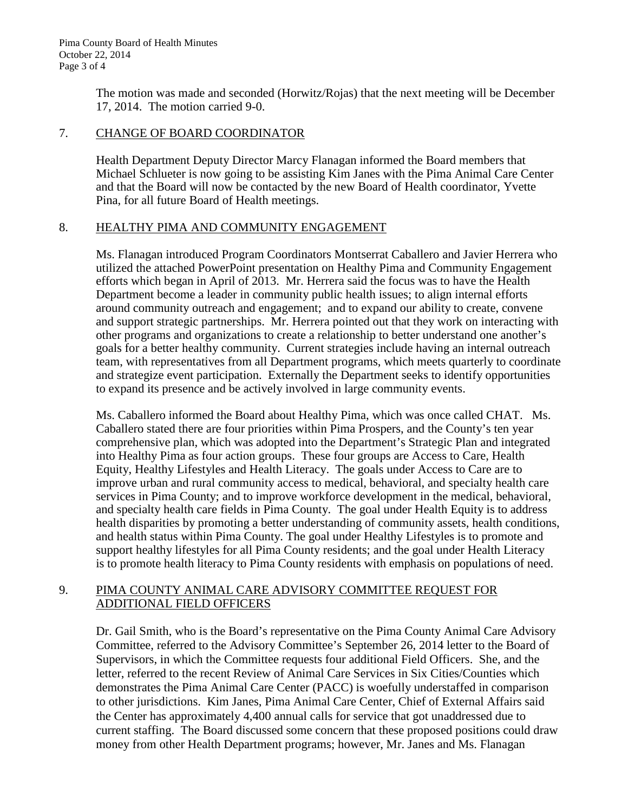The motion was made and seconded (Horwitz/Rojas) that the next meeting will be December 17, 2014. The motion carried 9-0.

## 7. CHANGE OF BOARD COORDINATOR

Health Department Deputy Director Marcy Flanagan informed the Board members that Michael Schlueter is now going to be assisting Kim Janes with the Pima Animal Care Center and that the Board will now be contacted by the new Board of Health coordinator, Yvette Pina, for all future Board of Health meetings.

## 8. HEALTHY PIMA AND COMMUNITY ENGAGEMENT

Ms. Flanagan introduced Program Coordinators Montserrat Caballero and Javier Herrera who utilized the attached PowerPoint presentation on Healthy Pima and Community Engagement efforts which began in April of 2013. Mr. Herrera said the focus was to have the Health Department become a leader in community public health issues; to align internal efforts around community outreach and engagement; and to expand our ability to create, convene and support strategic partnerships. Mr. Herrera pointed out that they work on interacting with other programs and organizations to create a relationship to better understand one another's goals for a better healthy community. Current strategies include having an internal outreach team, with representatives from all Department programs, which meets quarterly to coordinate and strategize event participation. Externally the Department seeks to identify opportunities to expand its presence and be actively involved in large community events.

Ms. Caballero informed the Board about Healthy Pima, which was once called CHAT. Ms. Caballero stated there are four priorities within Pima Prospers, and the County's ten year comprehensive plan, which was adopted into the Department's Strategic Plan and integrated into Healthy Pima as four action groups. These four groups are Access to Care, Health Equity, Healthy Lifestyles and Health Literacy. The goals under Access to Care are to improve urban and rural community access to medical, behavioral, and specialty health care services in Pima County; and to improve workforce development in the medical, behavioral, and specialty health care fields in Pima County. The goal under Health Equity is to address health disparities by promoting a better understanding of community assets, health conditions, and health status within Pima County. The goal under Healthy Lifestyles is to promote and support healthy lifestyles for all Pima County residents; and the goal under Health Literacy is to promote health literacy to Pima County residents with emphasis on populations of need.

## 9. PIMA COUNTY ANIMAL CARE ADVISORY COMMITTEE REQUEST FOR ADDITIONAL FIELD OFFICERS

Dr. Gail Smith, who is the Board's representative on the Pima County Animal Care Advisory Committee, referred to the Advisory Committee's September 26, 2014 letter to the Board of Supervisors, in which the Committee requests four additional Field Officers. She, and the letter, referred to the recent Review of Animal Care Services in Six Cities/Counties which demonstrates the Pima Animal Care Center (PACC) is woefully understaffed in comparison to other jurisdictions. Kim Janes, Pima Animal Care Center, Chief of External Affairs said the Center has approximately 4,400 annual calls for service that got unaddressed due to current staffing. The Board discussed some concern that these proposed positions could draw money from other Health Department programs; however, Mr. Janes and Ms. Flanagan